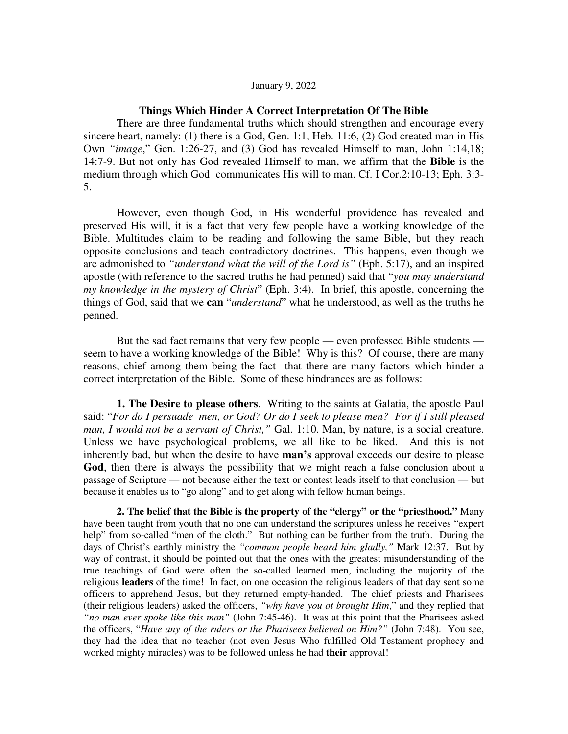## January 9, 2022

## **Things Which Hinder A Correct Interpretation Of The Bible**

There are three fundamental truths which should strengthen and encourage every sincere heart, namely: (1) there is a God, Gen. 1:1, Heb. 11:6, (2) God created man in His Own *"image*," Gen. 1:26-27, and (3) God has revealed Himself to man, John 1:14,18; 14:7-9. But not only has God revealed Himself to man, we affirm that the **Bible** is the medium through which God communicates His will to man. Cf. I Cor.2:10-13; Eph. 3:3- 5.

However, even though God, in His wonderful providence has revealed and preserved His will, it is a fact that very few people have a working knowledge of the Bible. Multitudes claim to be reading and following the same Bible, but they reach opposite conclusions and teach contradictory doctrines. This happens, even though we are admonished to *"understand what the will of the Lord is"* (Eph. 5:17), and an inspired apostle (with reference to the sacred truths he had penned) said that "*you may understand my knowledge in the mystery of Christ*" (Eph. 3:4). In brief, this apostle, concerning the things of God, said that we **can** "*understand*" what he understood, as well as the truths he penned.

But the sad fact remains that very few people — even professed Bible students seem to have a working knowledge of the Bible! Why is this? Of course, there are many reasons, chief among them being the fact that there are many factors which hinder a correct interpretation of the Bible. Some of these hindrances are as follows:

**1. The Desire to please others**. Writing to the saints at Galatia, the apostle Paul said: "*For do I persuade men, or God? Or do I seek to please men? For if I still pleased man, I would not be a servant of Christ,"* Gal. 1:10. Man, by nature, is a social creature. Unless we have psychological problems, we all like to be liked. And this is not inherently bad, but when the desire to have **man's** approval exceeds our desire to please **God**, then there is always the possibility that we might reach a false conclusion about a passage of Scripture — not because either the text or contest leads itself to that conclusion — but because it enables us to "go along" and to get along with fellow human beings.

**2. The belief that the Bible is the property of the "clergy" or the "priesthood."** Many have been taught from youth that no one can understand the scriptures unless he receives "expert help" from so-called "men of the cloth." But nothing can be further from the truth. During the days of Christ's earthly ministry the *"common people heard him gladly,"* Mark 12:37. But by way of contrast, it should be pointed out that the ones with the greatest misunderstanding of the true teachings of God were often the so-called learned men, including the majority of the religious **leaders** of the time! In fact, on one occasion the religious leaders of that day sent some officers to apprehend Jesus, but they returned empty-handed. The chief priests and Pharisees (their religious leaders) asked the officers, *"why have you ot brought Him*," and they replied that *"no man ever spoke like this man"* (John 7:45-46). It was at this point that the Pharisees asked the officers, "*Have any of the rulers or the Pharisees believed on Him?"* (John 7:48). You see, they had the idea that no teacher (not even Jesus Who fulfilled Old Testament prophecy and worked mighty miracles) was to be followed unless he had **their** approval!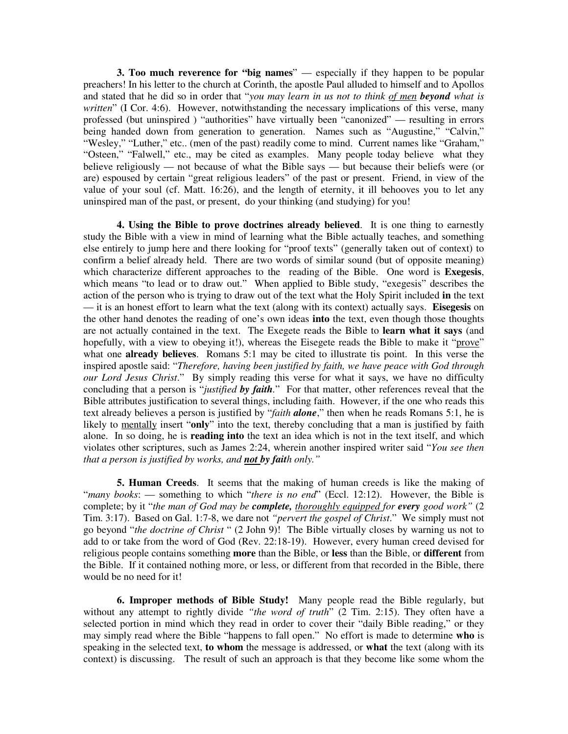**3. Too much reverence for "big names**" — especially if they happen to be popular preachers! In his letter to the church at Corinth, the apostle Paul alluded to himself and to Apollos and stated that he did so in order that "*you may learn in us not to think of men beyond what is written*" (I Cor. 4:6). However, notwithstanding the necessary implications of this verse, many professed (but uninspired ) "authorities" have virtually been "canonized" — resulting in errors being handed down from generation to generation. Names such as "Augustine," "Calvin," "Wesley," "Luther," etc.. (men of the past) readily come to mind. Current names like "Graham," "Osteen," "Falwell," etc., may be cited as examples. Many people today believe what they believe religiously — not because of what the Bible says — but because their beliefs were (or are) espoused by certain "great religious leaders" of the past or present. Friend, in view of the value of your soul (cf. Matt. 16:26), and the length of eternity, it ill behooves you to let any uninspired man of the past, or present, do your thinking (and studying) for you!

**4. Using the Bible to prove doctrines already believed**. It is one thing to earnestly study the Bible with a view in mind of learning what the Bible actually teaches, and something else entirely to jump here and there looking for "proof texts" (generally taken out of context) to confirm a belief already held. There are two words of similar sound (but of opposite meaning) which characterize different approaches to the reading of the Bible. One word is **Exegesis**, which means "to lead or to draw out." When applied to Bible study, "exegesis" describes the action of the person who is trying to draw out of the text what the Holy Spirit included **in** the text — it is an honest effort to learn what the text (along with its context) actually says. **Eisegesis** on the other hand denotes the reading of one's own ideas **into** the text, even though those thoughts are not actually contained in the text. The Exegete reads the Bible to **learn what it says** (and hopefully, with a view to obeying it!), whereas the Eisegete reads the Bible to make it "prove" what one **already believes**. Romans 5:1 may be cited to illustrate tis point. In this verse the inspired apostle said: "*Therefore, having been justified by faith, we have peace with God through our Lord Jesus Christ*." By simply reading this verse for what it says, we have no difficulty concluding that a person is "*justified by faith.*" For that matter, other references reveal that the Bible attributes justification to several things, including faith. However, if the one who reads this text already believes a person is justified by "*faith alone*," then when he reads Romans 5:1, he is likely to mentally insert "**only**" into the text, thereby concluding that a man is justified by faith alone. In so doing, he is **reading into** the text an idea which is not in the text itself, and which violates other scriptures, such as James 2:24, wherein another inspired writer said "*You see then that a person is justified by works, and not by faith only."*

**5. Human Creeds**. It seems that the making of human creeds is like the making of "*many books*: — something to which "*there is no end*" (Eccl. 12:12). However, the Bible is complete; by it "*the man of God may be complete, thoroughly equipped for every good work"* (2 Tim. 3:17). Based on Gal. 1:7-8, we dare not *"pervert the gospel of Christ*." We simply must not go beyond "*the doctrine of Christ* " (2 John 9)! The Bible virtually closes by warning us not to add to or take from the word of God (Rev. 22:18-19). However, every human creed devised for religious people contains something **more** than the Bible, or **less** than the Bible, or **different** from the Bible. If it contained nothing more, or less, or different from that recorded in the Bible, there would be no need for it!

**6. Improper methods of Bible Study!** Many people read the Bible regularly, but without any attempt to rightly divide "the word of truth" (2 Tim. 2:15). They often have a selected portion in mind which they read in order to cover their "daily Bible reading," or they may simply read where the Bible "happens to fall open." No effort is made to determine **who** is speaking in the selected text, **to whom** the message is addressed, or **what** the text (along with its context) is discussing. The result of such an approach is that they become like some whom the